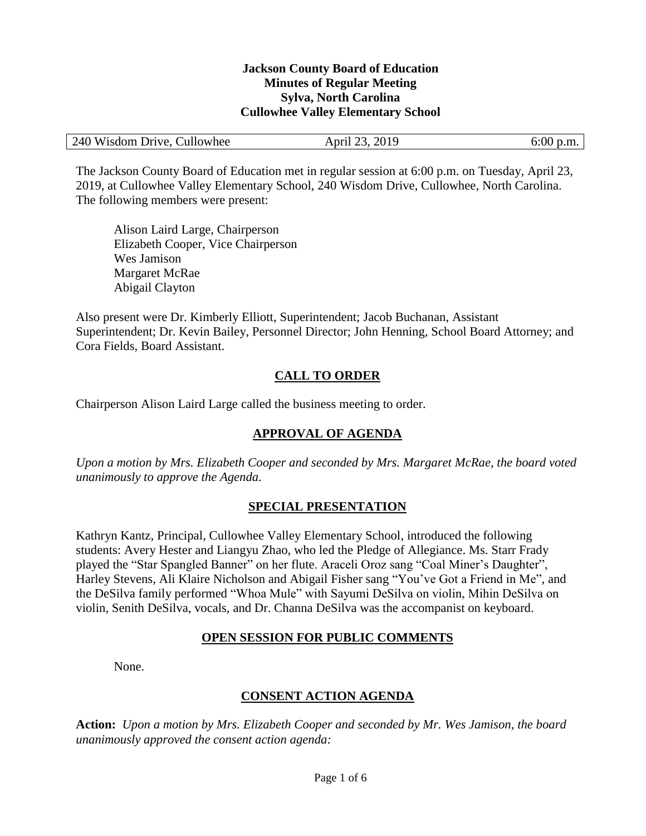#### **Jackson County Board of Education Minutes of Regular Meeting Sylva, North Carolina Cullowhee Valley Elementary School**

| 240 Wisdom Drive, Cullowhee | April 23, 2019 | $6:00$ p.m. |
|-----------------------------|----------------|-------------|
|-----------------------------|----------------|-------------|

The Jackson County Board of Education met in regular session at 6:00 p.m. on Tuesday, April 23, 2019, at Cullowhee Valley Elementary School, 240 Wisdom Drive, Cullowhee, North Carolina. The following members were present:

Alison Laird Large, Chairperson Elizabeth Cooper, Vice Chairperson Wes Jamison Margaret McRae Abigail Clayton

Also present were Dr. Kimberly Elliott, Superintendent; Jacob Buchanan, Assistant Superintendent; Dr. Kevin Bailey, Personnel Director; John Henning, School Board Attorney; and Cora Fields, Board Assistant.

# **CALL TO ORDER**

Chairperson Alison Laird Large called the business meeting to order.

# **APPROVAL OF AGENDA**

*Upon a motion by Mrs. Elizabeth Cooper and seconded by Mrs. Margaret McRae, the board voted unanimously to approve the Agenda.*

### **SPECIAL PRESENTATION**

Kathryn Kantz, Principal, Cullowhee Valley Elementary School, introduced the following students: Avery Hester and Liangyu Zhao, who led the Pledge of Allegiance. Ms. Starr Frady played the "Star Spangled Banner" on her flute. Araceli Oroz sang "Coal Miner's Daughter", Harley Stevens, Ali Klaire Nicholson and Abigail Fisher sang "You've Got a Friend in Me", and the DeSilva family performed "Whoa Mule" with Sayumi DeSilva on violin, Mihin DeSilva on violin, Senith DeSilva, vocals, and Dr. Channa DeSilva was the accompanist on keyboard.

### **OPEN SESSION FOR PUBLIC COMMENTS**

None.

# **CONSENT ACTION AGENDA**

**Action:** *Upon a motion by Mrs. Elizabeth Cooper and seconded by Mr. Wes Jamison, the board unanimously approved the consent action agenda:*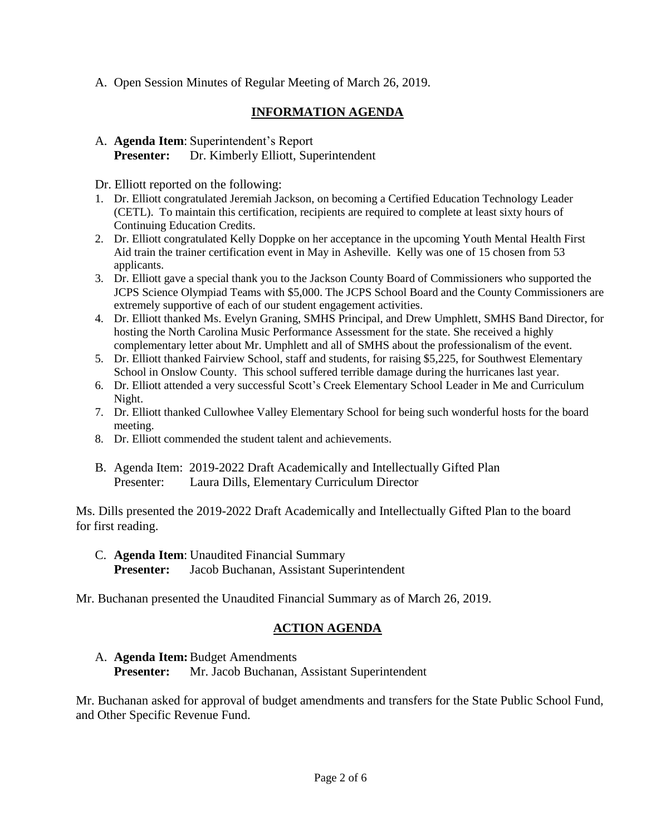A. Open Session Minutes of Regular Meeting of March 26, 2019.

# **INFORMATION AGENDA**

### A. **Agenda Item**: Superintendent's Report **Presenter:** Dr. Kimberly Elliott, Superintendent

Dr. Elliott reported on the following:

- 1. Dr. Elliott congratulated Jeremiah Jackson, on becoming a Certified Education Technology Leader (CETL). To maintain this certification, recipients are required to complete at least sixty hours of Continuing Education Credits.
- 2. Dr. Elliott congratulated Kelly Doppke on her acceptance in the upcoming Youth Mental Health First Aid train the trainer certification event in May in Asheville. Kelly was one of 15 chosen from 53 applicants.
- 3. Dr. Elliott gave a special thank you to the Jackson County Board of Commissioners who supported the JCPS Science Olympiad Teams with \$5,000. The JCPS School Board and the County Commissioners are extremely supportive of each of our student engagement activities.
- 4. Dr. Elliott thanked Ms. Evelyn Graning, SMHS Principal, and Drew Umphlett, SMHS Band Director, for hosting the North Carolina Music Performance Assessment for the state. She received a highly complementary letter about Mr. Umphlett and all of SMHS about the professionalism of the event.
- 5. Dr. Elliott thanked Fairview School, staff and students, for raising \$5,225, for Southwest Elementary School in Onslow County. This school suffered terrible damage during the hurricanes last year.
- 6. Dr. Elliott attended a very successful Scott's Creek Elementary School Leader in Me and Curriculum Night.
- 7. Dr. Elliott thanked Cullowhee Valley Elementary School for being such wonderful hosts for the board meeting.
- 8. Dr. Elliott commended the student talent and achievements.
- B. Agenda Item: 2019-2022 Draft Academically and Intellectually Gifted Plan Presenter: Laura Dills, Elementary Curriculum Director

Ms. Dills presented the 2019-2022 Draft Academically and Intellectually Gifted Plan to the board for first reading.

C. **Agenda Item**: Unaudited Financial Summary **Presenter:** Jacob Buchanan, Assistant Superintendent

Mr. Buchanan presented the Unaudited Financial Summary as of March 26, 2019.

# **ACTION AGENDA**

# A. **Agenda Item:**Budget Amendments **Presenter:** Mr. Jacob Buchanan, Assistant Superintendent

Mr. Buchanan asked for approval of budget amendments and transfers for the State Public School Fund, and Other Specific Revenue Fund.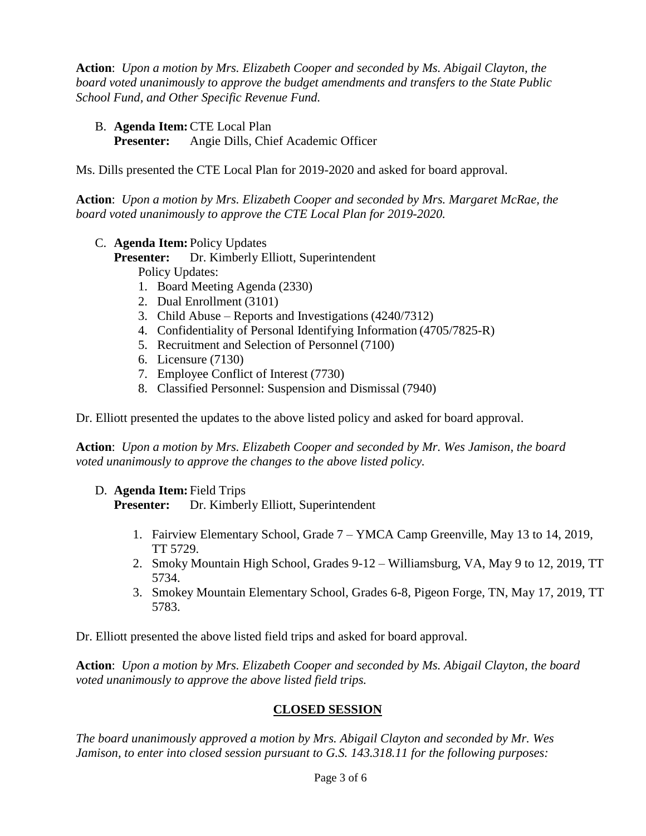**Action**: *Upon a motion by Mrs. Elizabeth Cooper and seconded by Ms. Abigail Clayton, the board voted unanimously to approve the budget amendments and transfers to the State Public School Fund, and Other Specific Revenue Fund.*

B. **Agenda Item:**CTE Local Plan

**Presenter:** Angie Dills, Chief Academic Officer

Ms. Dills presented the CTE Local Plan for 2019-2020 and asked for board approval.

**Action**: *Upon a motion by Mrs. Elizabeth Cooper and seconded by Mrs. Margaret McRae, the board voted unanimously to approve the CTE Local Plan for 2019-2020.*

C. **Agenda Item:** Policy Updates

**Presenter:** Dr. Kimberly Elliott, Superintendent

- Policy Updates:
- 1. Board Meeting Agenda (2330)
- 2. Dual Enrollment (3101)
- 3. Child Abuse Reports and Investigations (4240/7312)
- 4. Confidentiality of Personal Identifying Information (4705/7825-R)
- 5. Recruitment and Selection of Personnel (7100)
- 6. Licensure (7130)
- 7. Employee Conflict of Interest (7730)
- 8. Classified Personnel: Suspension and Dismissal (7940)

Dr. Elliott presented the updates to the above listed policy and asked for board approval.

**Action**: *Upon a motion by Mrs. Elizabeth Cooper and seconded by Mr. Wes Jamison, the board voted unanimously to approve the changes to the above listed policy.*

D. **Agenda Item:** Field Trips

**Presenter:** Dr. Kimberly Elliott, Superintendent

- 1. Fairview Elementary School, Grade 7 YMCA Camp Greenville, May 13 to 14, 2019, TT 5729.
- 2. Smoky Mountain High School, Grades 9-12 Williamsburg, VA, May 9 to 12, 2019, TT 5734.
- 3. Smokey Mountain Elementary School, Grades 6-8, Pigeon Forge, TN, May 17, 2019, TT 5783.

Dr. Elliott presented the above listed field trips and asked for board approval.

**Action**: *Upon a motion by Mrs. Elizabeth Cooper and seconded by Ms. Abigail Clayton, the board voted unanimously to approve the above listed field trips.*

# **CLOSED SESSION**

*The board unanimously approved a motion by Mrs. Abigail Clayton and seconded by Mr. Wes Jamison, to enter into closed session pursuant to G.S. 143.318.11 for the following purposes:*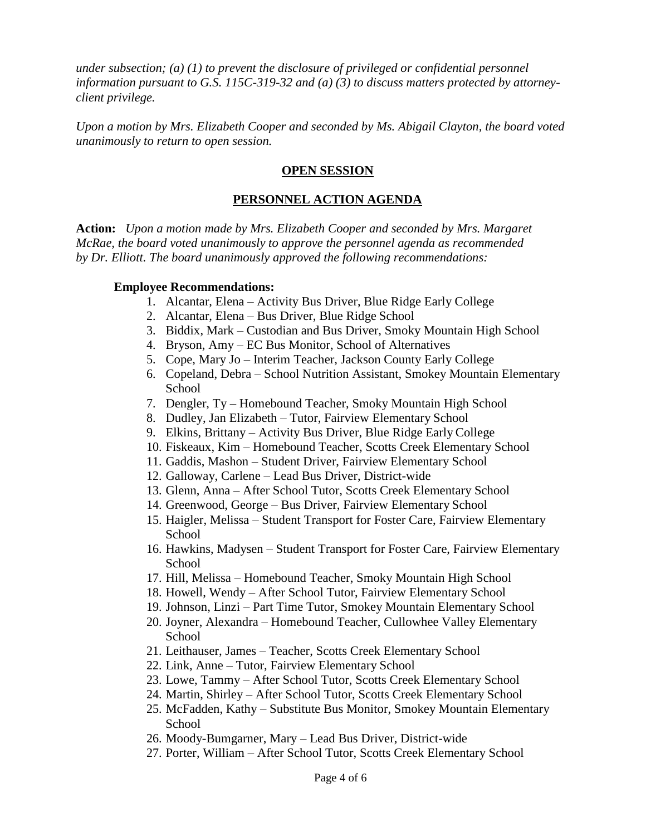*under subsection; (a) (1) to prevent the disclosure of privileged or confidential personnel information pursuant to G.S. 115C-319-32 and (a) (3) to discuss matters protected by attorneyclient privilege.* 

*Upon a motion by Mrs. Elizabeth Cooper and seconded by Ms. Abigail Clayton, the board voted unanimously to return to open session.*

#### **OPEN SESSION**

### **PERSONNEL ACTION AGENDA**

**Action:** *Upon a motion made by Mrs. Elizabeth Cooper and seconded by Mrs. Margaret McRae, the board voted unanimously to approve the personnel agenda as recommended by Dr. Elliott. The board unanimously approved the following recommendations:*

#### **Employee Recommendations:**

- 1. Alcantar, Elena Activity Bus Driver, Blue Ridge Early College
- 2. Alcantar, Elena Bus Driver, Blue Ridge School
- 3. Biddix, Mark Custodian and Bus Driver, Smoky Mountain High School
- 4. Bryson, Amy EC Bus Monitor, School of Alternatives
- 5. Cope, Mary Jo Interim Teacher, Jackson County Early College
- 6. Copeland, Debra School Nutrition Assistant, Smokey Mountain Elementary School
- 7. Dengler, Ty Homebound Teacher, Smoky Mountain High School
- 8. Dudley, Jan Elizabeth Tutor, Fairview Elementary School
- 9. Elkins, Brittany Activity Bus Driver, Blue Ridge Early College
- 10. Fiskeaux, Kim Homebound Teacher, Scotts Creek Elementary School
- 11. Gaddis, Mashon Student Driver, Fairview Elementary School
- 12. Galloway, Carlene Lead Bus Driver, District-wide
- 13. Glenn, Anna After School Tutor, Scotts Creek Elementary School
- 14. Greenwood, George Bus Driver, Fairview Elementary School
- 15. Haigler, Melissa Student Transport for Foster Care, Fairview Elementary **School**
- 16. Hawkins, Madysen Student Transport for Foster Care, Fairview Elementary School
- 17. Hill, Melissa Homebound Teacher, Smoky Mountain High School
- 18. Howell, Wendy After School Tutor, Fairview Elementary School
- 19. Johnson, Linzi Part Time Tutor, Smokey Mountain Elementary School
- 20. Joyner, Alexandra Homebound Teacher, Cullowhee Valley Elementary School
- 21. Leithauser, James Teacher, Scotts Creek Elementary School
- 22. Link, Anne Tutor, Fairview Elementary School
- 23. Lowe, Tammy After School Tutor, Scotts Creek Elementary School
- 24. Martin, Shirley After School Tutor, Scotts Creek Elementary School
- 25. McFadden, Kathy Substitute Bus Monitor, Smokey Mountain Elementary School
- 26. Moody-Bumgarner, Mary Lead Bus Driver, District-wide
- 27. Porter, William After School Tutor, Scotts Creek Elementary School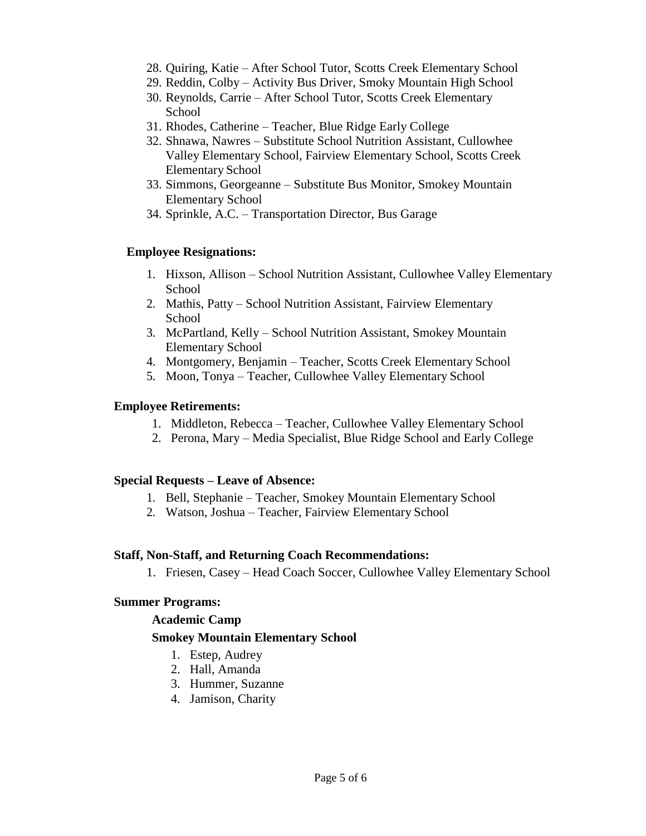- 28. Quiring, Katie After School Tutor, Scotts Creek Elementary School
- 29. Reddin, Colby Activity Bus Driver, Smoky Mountain High School
- 30. Reynolds, Carrie After School Tutor, Scotts Creek Elementary School
- 31. Rhodes, Catherine Teacher, Blue Ridge Early College
- 32. Shnawa, Nawres Substitute School Nutrition Assistant, Cullowhee Valley Elementary School, Fairview Elementary School, Scotts Creek Elementary School
- 33. Simmons, Georgeanne Substitute Bus Monitor, Smokey Mountain Elementary School
- 34. Sprinkle, A.C. Transportation Director, Bus Garage

#### **Employee Resignations:**

- 1. Hixson, Allison School Nutrition Assistant, Cullowhee Valley Elementary School
- 2. Mathis, Patty School Nutrition Assistant, Fairview Elementary School
- 3. McPartland, Kelly School Nutrition Assistant, Smokey Mountain Elementary School
- 4. Montgomery, Benjamin Teacher, Scotts Creek Elementary School
- 5. Moon, Tonya Teacher, Cullowhee Valley Elementary School

#### **Employee Retirements:**

- 1. Middleton, Rebecca Teacher, Cullowhee Valley Elementary School
- 2. Perona, Mary Media Specialist, Blue Ridge School and Early College

#### **Special Requests – Leave of Absence:**

- 1. Bell, Stephanie Teacher, Smokey Mountain Elementary School
- 2. Watson, Joshua Teacher, Fairview Elementary School

#### **Staff, Non-Staff, and Returning Coach Recommendations:**

1. Friesen, Casey – Head Coach Soccer, Cullowhee Valley Elementary School

#### **Summer Programs:**

#### **Academic Camp**

#### **Smokey Mountain Elementary School**

- 1. Estep, Audrey
- 2. Hall, Amanda
- 3. Hummer, Suzanne
- 4. Jamison, Charity